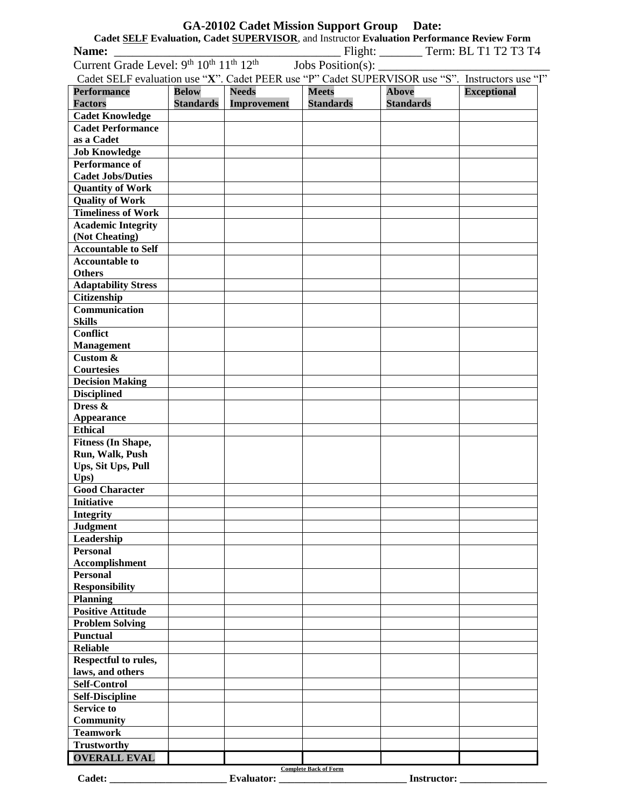| <b>GA-20102 Cadet Mission Support Group Date:</b>                                                                                      |                  |                   |                              |                    |                    |  |  |  |  |
|----------------------------------------------------------------------------------------------------------------------------------------|------------------|-------------------|------------------------------|--------------------|--------------------|--|--|--|--|
| Cadet SELF Evaluation, Cadet SUPERVISOR, and Instructor Evaluation Performance Review Form                                             |                  |                   |                              |                    |                    |  |  |  |  |
| $\_$ Flight: __________ Term: BL T1 T2 T3 T4<br>Name:<br>Current Grade Level: $9^{th}$ $10^{th}$ $11^{th}$ $12^{th}$ Jobs Position(s): |                  |                   |                              |                    |                    |  |  |  |  |
| Cadet SELF evaluation use "X". Cadet PEER use "P" Cadet SUPERVISOR use "S". Instructors use "I"                                        |                  |                   |                              |                    |                    |  |  |  |  |
|                                                                                                                                        |                  |                   |                              |                    |                    |  |  |  |  |
| <b>Performance</b>                                                                                                                     | <b>Below</b>     | <b>Needs</b>      | <b>Meets</b>                 | <b>Above</b>       | <b>Exceptional</b> |  |  |  |  |
| <b>Factors</b>                                                                                                                         | <b>Standards</b> | Improvement       | <b>Standards</b>             | <b>Standards</b>   |                    |  |  |  |  |
| <b>Cadet Knowledge</b><br><b>Cadet Performance</b>                                                                                     |                  |                   |                              |                    |                    |  |  |  |  |
| as a Cadet                                                                                                                             |                  |                   |                              |                    |                    |  |  |  |  |
| <b>Job Knowledge</b>                                                                                                                   |                  |                   |                              |                    |                    |  |  |  |  |
| <b>Performance of</b>                                                                                                                  |                  |                   |                              |                    |                    |  |  |  |  |
| <b>Cadet Jobs/Duties</b>                                                                                                               |                  |                   |                              |                    |                    |  |  |  |  |
| <b>Quantity of Work</b>                                                                                                                |                  |                   |                              |                    |                    |  |  |  |  |
| <b>Quality of Work</b>                                                                                                                 |                  |                   |                              |                    |                    |  |  |  |  |
| <b>Timeliness of Work</b>                                                                                                              |                  |                   |                              |                    |                    |  |  |  |  |
| <b>Academic Integrity</b>                                                                                                              |                  |                   |                              |                    |                    |  |  |  |  |
| (Not Cheating)                                                                                                                         |                  |                   |                              |                    |                    |  |  |  |  |
| <b>Accountable to Self</b>                                                                                                             |                  |                   |                              |                    |                    |  |  |  |  |
| <b>Accountable to</b>                                                                                                                  |                  |                   |                              |                    |                    |  |  |  |  |
| <b>Others</b>                                                                                                                          |                  |                   |                              |                    |                    |  |  |  |  |
| <b>Adaptability Stress</b>                                                                                                             |                  |                   |                              |                    |                    |  |  |  |  |
| Citizenship                                                                                                                            |                  |                   |                              |                    |                    |  |  |  |  |
| Communication                                                                                                                          |                  |                   |                              |                    |                    |  |  |  |  |
| <b>Skills</b>                                                                                                                          |                  |                   |                              |                    |                    |  |  |  |  |
| <b>Conflict</b>                                                                                                                        |                  |                   |                              |                    |                    |  |  |  |  |
| <b>Management</b><br>Custom &                                                                                                          |                  |                   |                              |                    |                    |  |  |  |  |
| <b>Courtesies</b>                                                                                                                      |                  |                   |                              |                    |                    |  |  |  |  |
| <b>Decision Making</b>                                                                                                                 |                  |                   |                              |                    |                    |  |  |  |  |
| <b>Disciplined</b>                                                                                                                     |                  |                   |                              |                    |                    |  |  |  |  |
| Dress &                                                                                                                                |                  |                   |                              |                    |                    |  |  |  |  |
| <b>Appearance</b>                                                                                                                      |                  |                   |                              |                    |                    |  |  |  |  |
| <b>Ethical</b>                                                                                                                         |                  |                   |                              |                    |                    |  |  |  |  |
| <b>Fitness (In Shape,</b>                                                                                                              |                  |                   |                              |                    |                    |  |  |  |  |
| Run, Walk, Push                                                                                                                        |                  |                   |                              |                    |                    |  |  |  |  |
| Ups, Sit Ups, Pull                                                                                                                     |                  |                   |                              |                    |                    |  |  |  |  |
| U <sub>ps</sub>                                                                                                                        |                  |                   |                              |                    |                    |  |  |  |  |
| <b>Good Character</b>                                                                                                                  |                  |                   |                              |                    |                    |  |  |  |  |
| <b>Initiative</b>                                                                                                                      |                  |                   |                              |                    |                    |  |  |  |  |
| <b>Integrity</b>                                                                                                                       |                  |                   |                              |                    |                    |  |  |  |  |
| <b>Judgment</b>                                                                                                                        |                  |                   |                              |                    |                    |  |  |  |  |
| Leadership<br><b>Personal</b>                                                                                                          |                  |                   |                              |                    |                    |  |  |  |  |
| Accomplishment                                                                                                                         |                  |                   |                              |                    |                    |  |  |  |  |
| <b>Personal</b>                                                                                                                        |                  |                   |                              |                    |                    |  |  |  |  |
| <b>Responsibility</b>                                                                                                                  |                  |                   |                              |                    |                    |  |  |  |  |
| <b>Planning</b>                                                                                                                        |                  |                   |                              |                    |                    |  |  |  |  |
| <b>Positive Attitude</b>                                                                                                               |                  |                   |                              |                    |                    |  |  |  |  |
| <b>Problem Solving</b>                                                                                                                 |                  |                   |                              |                    |                    |  |  |  |  |
| <b>Punctual</b>                                                                                                                        |                  |                   |                              |                    |                    |  |  |  |  |
| <b>Reliable</b>                                                                                                                        |                  |                   |                              |                    |                    |  |  |  |  |
| Respectful to rules,                                                                                                                   |                  |                   |                              |                    |                    |  |  |  |  |
| laws, and others                                                                                                                       |                  |                   |                              |                    |                    |  |  |  |  |
| <b>Self-Control</b>                                                                                                                    |                  |                   |                              |                    |                    |  |  |  |  |
| <b>Self-Discipline</b>                                                                                                                 |                  |                   |                              |                    |                    |  |  |  |  |
| <b>Service to</b>                                                                                                                      |                  |                   |                              |                    |                    |  |  |  |  |
| <b>Community</b>                                                                                                                       |                  |                   |                              |                    |                    |  |  |  |  |
| <b>Teamwork</b>                                                                                                                        |                  |                   |                              |                    |                    |  |  |  |  |
| <b>Trustworthy</b>                                                                                                                     |                  |                   |                              |                    |                    |  |  |  |  |
| <b>OVERALL EVAL</b>                                                                                                                    |                  |                   | <b>Complete Back of Form</b> |                    |                    |  |  |  |  |
| Cadet:                                                                                                                                 |                  | <b>Evaluator:</b> |                              | <b>Instructor:</b> |                    |  |  |  |  |